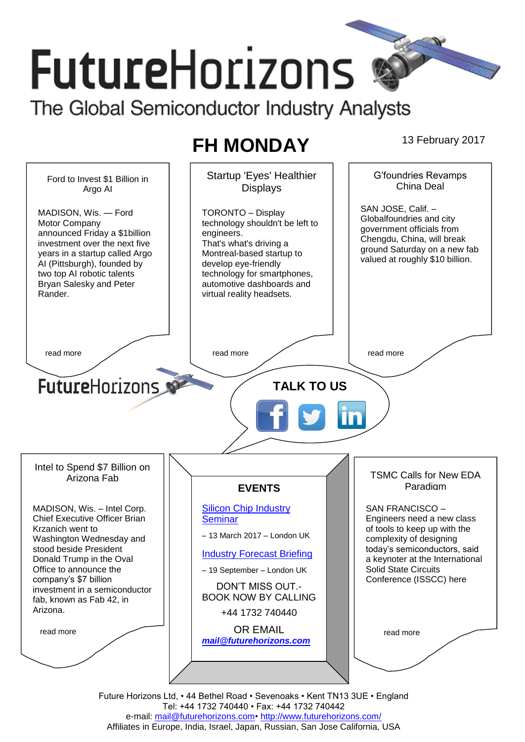# **FutureHorizons** The Global Semiconductor Industry Analysts

## **FH MONDAY** 13 February 2017

Startup 'Eyes' Healthier G'foundries Revamps Ford to Invest \$1 Billion in China Deal **Displays** Argo AI SAN JOSE, Calif. – MADISON, Wis. — Ford TORONTO – Display Globalfoundries and city Motor Company technology shouldn't be left to government officials from announced Friday a \$1billion engineers. Chengdu, China, will break investment over the next five That's what's driving a ground Saturday on a new fab years in a startup called Argo Montreal-based startup to valued at roughly \$10 billion. AI (Pittsburgh), founded by develop eye-friendly two top AI robotic talents technology for smartphones, Bryan Salesky and Peter automotive dashboards and Rander. virtual reality headsets. read more  $\sqrt{ }$  read more  $\sqrt{ }$  read more  $\sqrt{ }$  read more **Future**Horizons **TALK TO US** Intel to Spend \$7 Billion on TSMC Calls for New EDA Arizona Fab Paradigm **EVENTS** MADISON, Wis. – Intel Corp. [Silicon Chip Industry](http://www.futurehorizons.com/page/12/silicon-chip-training)  SAN FRANCISCO – Chief Executive Officer Brian **[Seminar](http://www.futurehorizons.com/page/12/silicon-chip-training)** Engineers need a new class of tools to keep up with the Krzanich went to – 13 March 2017 – London UK Washington Wednesday and complexity of designing stood beside President today's semiconductors, said [Industry Forecast Briefing](http://www.futurehorizons.com/page/13/Semiconductor-Market-Forecast-Seminar) Donald Trump in the Oval a keynoter at the International Office to announce the Solid State Circuits – 19 September – London UK Conference (ISSCC) here company's \$7 billion DON'T MISS OUT. investment in a semiconductor BOOK NOW BY CALLING fab, known as Fab 42, in Arizona.+44 1732 740440 OR EMAIL read more read more *[mail@futurehorizons.com](mailto:mail@futurehorizons.com)*

Future Horizons Ltd, • 44 Bethel Road • Sevenoaks • Kent TN13 3UE • England Tel: +44 1732 740440 • Fax: +44 1732 740442 e-mail: mail@futurehorizons.com• http://www.futurehorizons.com/ Affiliates in Europe, India, Israel, Japan, Russian, San Jose California, USA